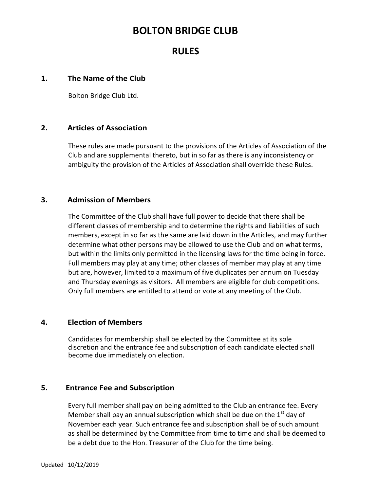## BOLTON BRIDGE CLUB

### RULES

#### 1. The Name of the Club

Bolton Bridge Club Ltd.

#### 2. Articles of Association

These rules are made pursuant to the provisions of the Articles of Association of the Club and are supplemental thereto, but in so far as there is any inconsistency or ambiguity the provision of the Articles of Association shall override these Rules.

#### 3. Admission of Members

The Committee of the Club shall have full power to decide that there shall be different classes of membership and to determine the rights and liabilities of such members, except in so far as the same are laid down in the Articles, and may further determine what other persons may be allowed to use the Club and on what terms, but within the limits only permitted in the licensing laws for the time being in force. Full members may play at any time; other classes of member may play at any time but are, however, limited to a maximum of five duplicates per annum on Tuesday and Thursday evenings as visitors. All members are eligible for club competitions. Only full members are entitled to attend or vote at any meeting of the Club.

#### 4. Election of Members

Candidates for membership shall be elected by the Committee at its sole discretion and the entrance fee and subscription of each candidate elected shall become due immediately on election.

#### 5. Entrance Fee and Subscription

Every full member shall pay on being admitted to the Club an entrance fee. Every Member shall pay an annual subscription which shall be due on the  $1<sup>st</sup>$  day of November each year. Such entrance fee and subscription shall be of such amount as shall be determined by the Committee from time to time and shall be deemed to be a debt due to the Hon. Treasurer of the Club for the time being.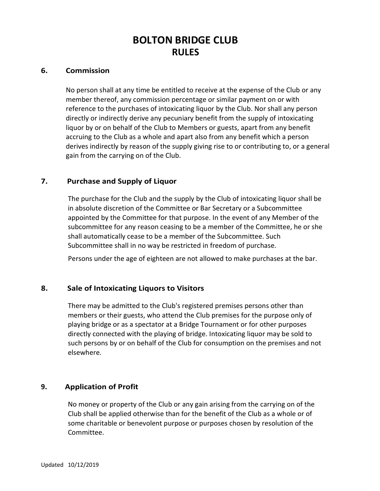#### 6. Commission

No person shall at any time be entitled to receive at the expense of the Club or any member thereof, any commission percentage or similar payment on or with reference to the purchases of intoxicating liquor by the Club. Nor shall any person directly or indirectly derive any pecuniary benefit from the supply of intoxicating liquor by or on behalf of the Club to Members or guests, apart from any benefit accruing to the Club as a whole and apart also from any benefit which a person derives indirectly by reason of the supply giving rise to or contributing to, or a general gain from the carrying on of the Club.

#### 7. Purchase and Supply of Liquor

The purchase for the Club and the supply by the Club of intoxicating liquor shall be in absolute discretion of the Committee or Bar Secretary or a Subcommittee appointed by the Committee for that purpose. In the event of any Member of the subcommittee for any reason ceasing to be a member of the Committee, he or she shall automatically cease to be a member of the Subcommittee. Such Subcommittee shall in no way be restricted in freedom of purchase.

Persons under the age of eighteen are not allowed to make purchases at the bar.

#### 8. Sale of Intoxicating Liquors to Visitors

There may be admitted to the Club's registered premises persons other than members or their guests, who attend the Club premises for the purpose only of playing bridge or as a spectator at a Bridge Tournament or for other purposes directly connected with the playing of bridge. Intoxicating liquor may be sold to such persons by or on behalf of the Club for consumption on the premises and not elsewhere.

#### 9. Application of Profit

No money or property of the Club or any gain arising from the carrying on of the Club shall be applied otherwise than for the benefit of the Club as a whole or of some charitable or benevolent purpose or purposes chosen by resolution of the Committee.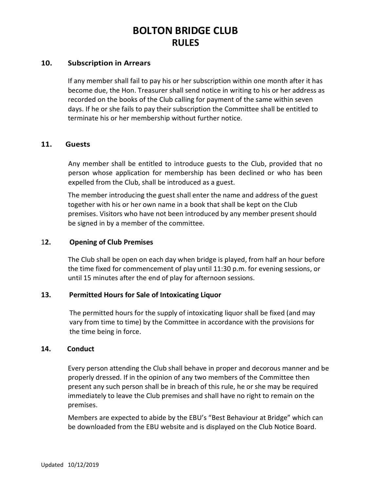#### 10. Subscription in Arrears

If any member shall fail to pay his or her subscription within one month after it has become due, the Hon. Treasurer shall send notice in writing to his or her address as recorded on the books of the Club calling for payment of the same within seven days. If he or she fails to pay their subscription the Committee shall be entitled to terminate his or her membership without further notice.

#### 11. Guests

Any member shall be entitled to introduce guests to the Club, provided that no person whose application for membership has been declined or who has been expelled from the Club, shall be introduced as a guest.

The member introducing the guest shall enter the name and address of the guest together with his or her own name in a book that shall be kept on the Club premises. Visitors who have not been introduced by any member present should be signed in by a member of the committee.

#### 12. Opening of Club Premises

The Club shall be open on each day when bridge is played, from half an hour before the time fixed for commencement of play until 11:30 p.m. for evening sessions, or until 15 minutes after the end of play for afternoon sessions.

#### 13. Permitted Hours for Sale of Intoxicating Liquor

The permitted hours for the supply of intoxicating liquor shall be fixed (and may vary from time to time) by the Committee in accordance with the provisions for the time being in force.

#### 14. Conduct

Every person attending the Club shall behave in proper and decorous manner and be properly dressed. If in the opinion of any two members of the Committee then present any such person shall be in breach of this rule, he or she may be required immediately to leave the Club premises and shall have no right to remain on the premises.

Members are expected to abide by the EBU's "Best Behaviour at Bridge" which can be downloaded from the EBU website and is displayed on the Club Notice Board.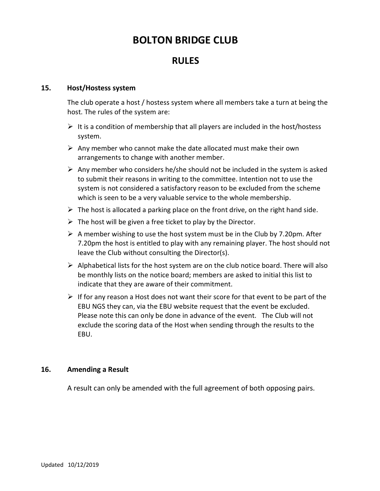# BOLTON BRIDGE CLUB

### RULES.

#### 15. Host/Hostess system

The club operate a host / hostess system where all members take a turn at being the host. The rules of the system are:

- $\triangleright$  It is a condition of membership that all players are included in the host/hostess system.
- $\triangleright$  Any member who cannot make the date allocated must make their own arrangements to change with another member.
- $\triangleright$  Any member who considers he/she should not be included in the system is asked to submit their reasons in writing to the committee. Intention not to use the system is not considered a satisfactory reason to be excluded from the scheme which is seen to be a very valuable service to the whole membership.
- $\triangleright$  The host is allocated a parking place on the front drive, on the right hand side.
- $\triangleright$  The host will be given a free ticket to play by the Director.
- $\triangleright$  A member wishing to use the host system must be in the Club by 7.20pm. After 7.20pm the host is entitled to play with any remaining player. The host should not leave the Club without consulting the Director(s).
- $\triangleright$  Alphabetical lists for the host system are on the club notice board. There will also be monthly lists on the notice board; members are asked to initial this list to indicate that they are aware of their commitment.
- $\triangleright$  If for any reason a Host does not want their score for that event to be part of the EBU NGS they can, via the EBU website request that the event be excluded. Please note this can only be done in advance of the event. The Club will not exclude the scoring data of the Host when sending through the results to the EBU.

#### 16. Amending a Result

A result can only be amended with the full agreement of both opposing pairs.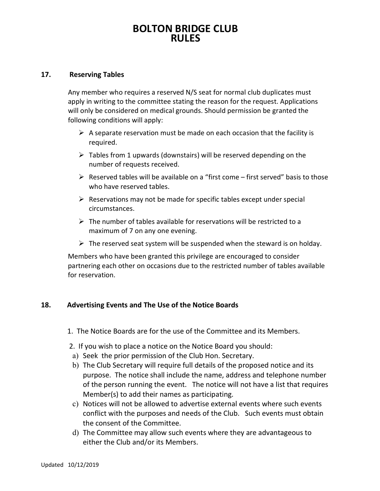#### 17. Reserving Tables

Any member who requires a reserved N/S seat for normal club duplicates must apply in writing to the committee stating the reason for the request. Applications will only be considered on medical grounds. Should permission be granted the following conditions will apply:

- $\triangleright$  A separate reservation must be made on each occasion that the facility is required.
- $\triangleright$  Tables from 1 upwards (downstairs) will be reserved depending on the number of requests received.
- $\triangleright$  Reserved tables will be available on a "first come first served" basis to those who have reserved tables.
- $\triangleright$  Reservations may not be made for specific tables except under special circumstances.
- $\triangleright$  The number of tables available for reservations will be restricted to a maximum of 7 on any one evening.
- $\triangleright$  The reserved seat system will be suspended when the steward is on holday.

Members who have been granted this privilege are encouraged to consider partnering each other on occasions due to the restricted number of tables available for reservation.

#### 18. Advertising Events and The Use of the Notice Boards

- 1. The Notice Boards are for the use of the Committee and its Members.
- 2. If you wish to place a notice on the Notice Board you should:
- a) Seek the prior permission of the Club Hon. Secretary.
- b) The Club Secretary will require full details of the proposed notice and its purpose. The notice shall include the name, address and telephone number of the person running the event. The notice will not have a list that requires Member(s) to add their names as participating.
- c) Notices will not be allowed to advertise external events where such events conflict with the purposes and needs of the Club. Such events must obtain the consent of the Committee.
- d) The Committee may allow such events where they are advantageous to either the Club and/or its Members.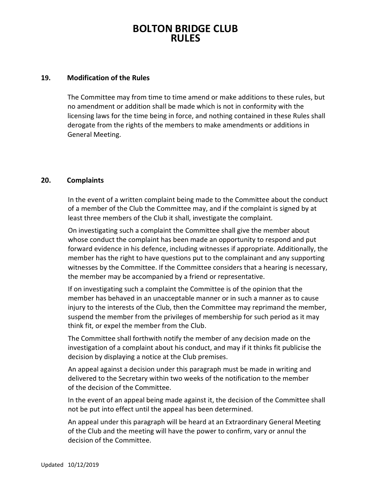#### 19. Modification of the Rules

The Committee may from time to time amend or make additions to these rules, but no amendment or addition shall be made which is not in conformity with the licensing laws for the time being in force, and nothing contained in these Rules shall derogate from the rights of the members to make amendments or additions in General Meeting.

#### 20. Complaints

In the event of a written complaint being made to the Committee about the conduct of a member of the Club the Committee may, and if the complaint is signed by at least three members of the Club it shall, investigate the complaint.

On investigating such a complaint the Committee shall give the member about whose conduct the complaint has been made an opportunity to respond and put forward evidence in his defence, including witnesses if appropriate. Additionally, the member has the right to have questions put to the complainant and any supporting witnesses by the Committee. If the Committee considers that a hearing is necessary, the member may be accompanied by a friend or representative.

If on investigating such a complaint the Committee is of the opinion that the member has behaved in an unacceptable manner or in such a manner as to cause injury to the interests of the Club, then the Committee may reprimand the member, suspend the member from the privileges of membership for such period as it may think fit, or expel the member from the Club.

The Committee shall forthwith notify the member of any decision made on the investigation of a complaint about his conduct, and may if it thinks fit publicise the decision by displaying a notice at the Club premises.

An appeal against a decision under this paragraph must be made in writing and delivered to the Secretary within two weeks of the notification to the member of the decision of the Committee.

In the event of an appeal being made against it, the decision of the Committee shall not be put into effect until the appeal has been determined.

An appeal under this paragraph will be heard at an Extraordinary General Meeting of the Club and the meeting will have the power to confirm, vary or annul the decision of the Committee.